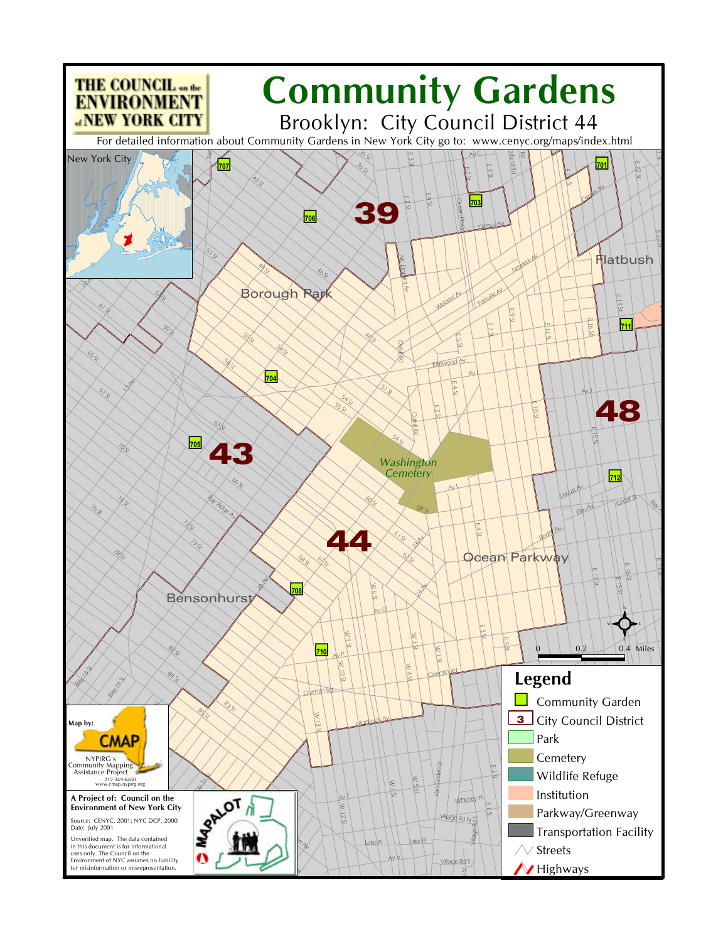